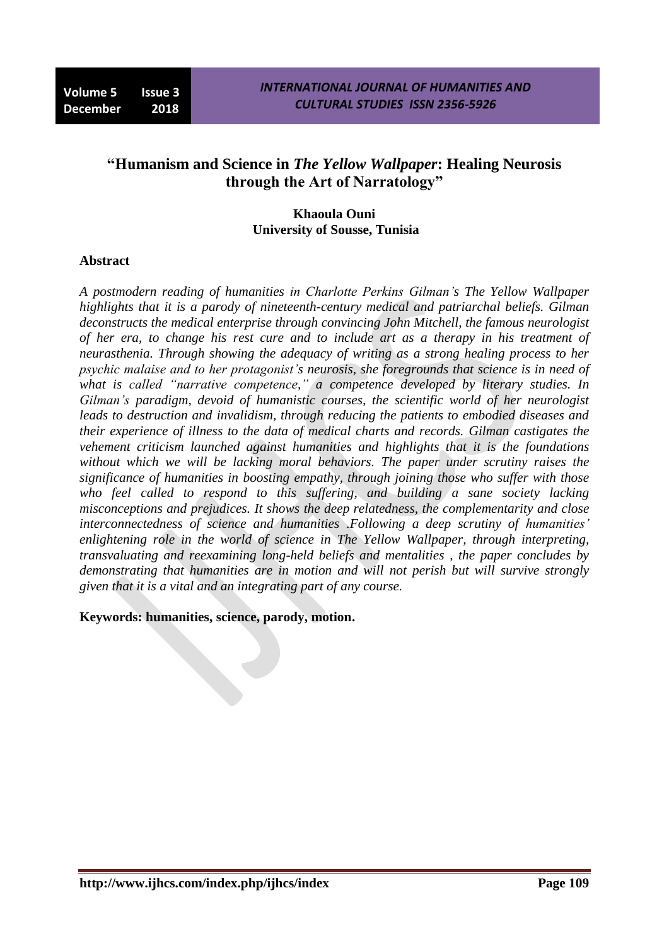# **"Humanism and Science in** *The Yellow Wallpaper***: Healing Neurosis through the Art of Narratology"**

### **Khaoula Ouni University of Sousse, Tunisia**

#### **Abstract**

*A postmodern reading of humanities in Charlotte Perkins Gilman's The Yellow Wallpaper highlights that it is a parody of nineteenth-century medical and patriarchal beliefs. Gilman deconstructs the medical enterprise through convincing John Mitchell, the famous neurologist of her era, to change his rest cure and to include art as a therapy in his treatment of neurasthenia. Through showing the adequacy of writing as a strong healing process to her psychic malaise and to her protagonist's neurosis, she foregrounds that science is in need of what is called "narrative competence," a competence developed by literary studies. In Gilman's paradigm, devoid of humanistic courses, the scientific world of her neurologist leads to destruction and invalidism, through reducing the patients to embodied diseases and their experience of illness to the data of medical charts and records. Gilman castigates the vehement criticism launched against humanities and highlights that it is the foundations without which we will be lacking moral behaviors. The paper under scrutiny raises the significance of humanities in boosting empathy, through joining those who suffer with those who feel called to respond to this suffering, and building a sane society lacking misconceptions and prejudices. It shows the deep relatedness, the complementarity and close interconnectedness of science and humanities .Following a deep scrutiny of humanities' enlightening role in the world of science in The Yellow Wallpaper, through interpreting, transvaluating and reexamining long-held beliefs and mentalities , the paper concludes by demonstrating that humanities are in motion and will not perish but will survive strongly given that it is a vital and an integrating part of any course.*

**Keywords: humanities, science, parody, motion.**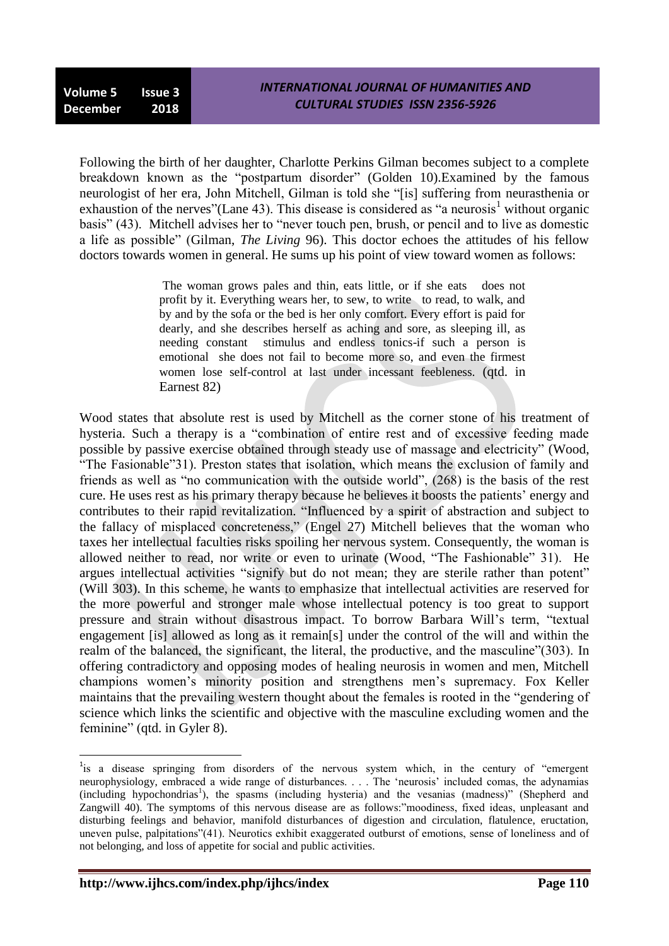Following the birth of her daughter, Charlotte Perkins Gilman becomes subject to a complete breakdown known as the "postpartum disorder" (Golden 10).Examined by the famous neurologist of her era, John Mitchell, Gilman is told she "[is] suffering from neurasthenia or exhaustion of the nerves"(Lane 43). This disease is considered as "a neurosis<sup>1</sup> without organic basis" (43). Mitchell advises her to "never touch pen, brush, or pencil and to live as domestic a life as possible" (Gilman, *The Living* 96). This doctor echoes the attitudes of his fellow doctors towards women in general. He sums up his point of view toward women as follows:

> The woman grows pales and thin, eats little, or if she eats does not profit by it. Everything wears her, to sew, to write to read, to walk, and by and by the sofa or the bed is her only comfort. Every effort is paid for dearly, and she describes herself as aching and sore, as sleeping ill, as needing constant stimulus and endless tonics-if such a person is emotional she does not fail to become more so, and even the firmest women lose self-control at last under incessant feebleness. (qtd. in Earnest 82)

Wood states that absolute rest is used by Mitchell as the corner stone of his treatment of hysteria. Such a therapy is a "combination of entire rest and of excessive feeding made possible by passive exercise obtained through steady use of massage and electricity" (Wood, "The Fasionable"31). Preston states that isolation, which means the exclusion of family and friends as well as "no communication with the outside world", (268) is the basis of the rest cure. He uses rest as his primary therapy because he believes it boosts the patients" energy and contributes to their rapid revitalization. "Influenced by a spirit of abstraction and subject to the fallacy of misplaced concreteness," (Engel 27) Mitchell believes that the woman who taxes her intellectual faculties risks spoiling her nervous system. Consequently, the woman is allowed neither to read, nor write or even to urinate (Wood, "The Fashionable" 31). He argues intellectual activities "signify but do not mean; they are sterile rather than potent" (Will 303). In this scheme, he wants to emphasize that intellectual activities are reserved for the more powerful and stronger male whose intellectual potency is too great to support pressure and strain without disastrous impact. To borrow Barbara Will"s term, "textual engagement [is] allowed as long as it remain[s] under the control of the will and within the realm of the balanced, the significant, the literal, the productive, and the masculine"(303). In offering contradictory and opposing modes of healing neurosis in women and men, Mitchell champions women"s minority position and strengthens men"s supremacy. Fox Keller maintains that the prevailing western thought about the females is rooted in the "gendering of science which links the scientific and objective with the masculine excluding women and the feminine" (qtd. in Gyler 8).

1

<sup>&</sup>lt;sup>1</sup>is a disease springing from disorders of the nervous system which, in the century of "emergent neurophysiology, embraced a wide range of disturbances. . . . The 'neurosis' included comas, the advnamias (including hypochondrias<sup>1</sup>), the spasms (including hysteria) and the vesanias (madness)" (Shepherd and Zangwill 40). The symptoms of this nervous disease are as follows:"moodiness, fixed ideas, unpleasant and disturbing feelings and behavior, manifold disturbances of digestion and circulation, flatulence, eructation, uneven pulse, palpitations"(41). Neurotics exhibit exaggerated outburst of emotions, sense of loneliness and of not belonging, and loss of appetite for social and public activities.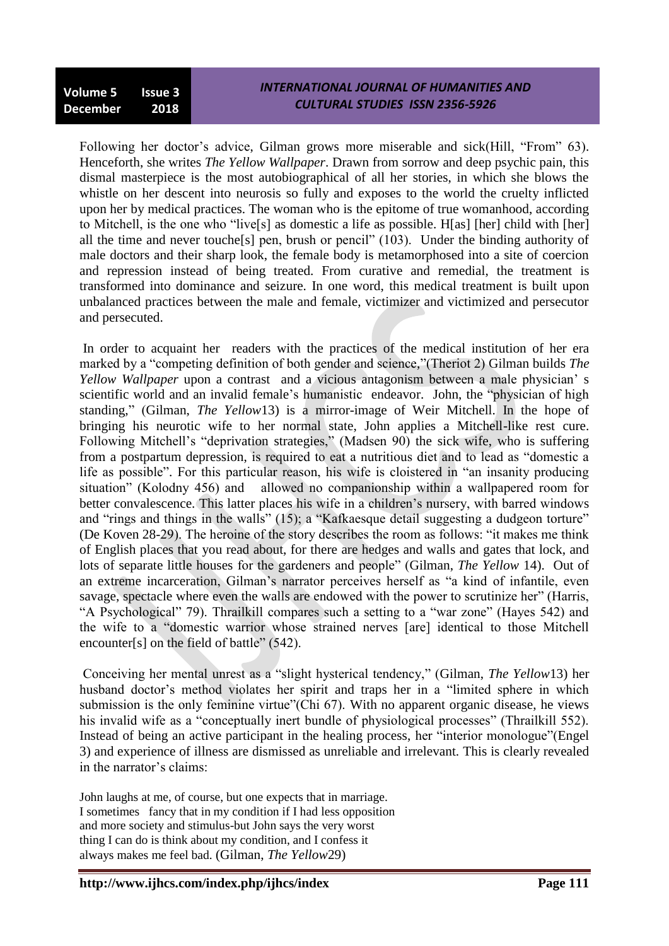Following her doctor's advice, Gilman grows more miserable and sick(Hill, "From" 63). Henceforth, she writes *The Yellow Wallpaper*. Drawn from sorrow and deep psychic pain, this dismal masterpiece is the most autobiographical of all her stories, in which she blows the whistle on her descent into neurosis so fully and exposes to the world the cruelty inflicted upon her by medical practices. The woman who is the epitome of true womanhood, according to Mitchell, is the one who "live[s] as domestic a life as possible. H[as] [her] child with [her] all the time and never touche[s] pen, brush or pencil" (103). Under the binding authority of male doctors and their sharp look, the female body is metamorphosed into a site of coercion and repression instead of being treated. From curative and remedial, the treatment is transformed into dominance and seizure. In one word, this medical treatment is built upon unbalanced practices between the male and female, victimizer and victimized and persecutor and persecuted.

In order to acquaint her readers with the practices of the medical institution of her era marked by a "competing definition of both gender and science,"(Theriot 2) Gilman builds *The Yellow Wallpaper* upon a contrast and a vicious antagonism between a male physician" s scientific world and an invalid female"s humanistic endeavor. John, the "physician of high standing," (Gilman, *The Yellow*13) is a mirror-image of Weir Mitchell. In the hope of bringing his neurotic wife to her normal state, John applies a Mitchell-like rest cure. Following Mitchell's "deprivation strategies," (Madsen 90) the sick wife, who is suffering from a postpartum depression, is required to eat a nutritious diet and to lead as "domestic a life as possible". For this particular reason, his wife is cloistered in "an insanity producing situation" (Kolodny 456) and allowed no companionship within a wallpapered room for better convalescence. This latter places his wife in a children"s nursery, with barred windows and "rings and things in the walls" (15); a "Kafkaesque detail suggesting a dudgeon torture" (De Koven 28-29). The heroine of the story describes the room as follows: "it makes me think of English places that you read about, for there are hedges and walls and gates that lock, and lots of separate little houses for the gardeners and people" (Gilman, *The Yellow* 14). Out of an extreme incarceration, Gilman"s narrator perceives herself as "a kind of infantile, even savage, spectacle where even the walls are endowed with the power to scrutinize her" (Harris, "A Psychological" 79). Thrailkill compares such a setting to a "war zone" (Hayes 542) and the wife to a "domestic warrior whose strained nerves [are] identical to those Mitchell encounter[s] on the field of battle" (542).

Conceiving her mental unrest as a "slight hysterical tendency," (Gilman, *The Yellow*13) her husband doctor"s method violates her spirit and traps her in a "limited sphere in which submission is the only feminine virtue"(Chi 67). With no apparent organic disease, he views his invalid wife as a "conceptually inert bundle of physiological processes" (Thrailkill 552). Instead of being an active participant in the healing process, her "interior monologue"(Engel 3) and experience of illness are dismissed as unreliable and irrelevant. This is clearly revealed in the narrator's claims:

John laughs at me, of course, but one expects that in marriage. I sometimes fancy that in my condition if I had less opposition and more society and stimulus-but John says the very worst thing I can do is think about my condition, and I confess it always makes me feel bad. (Gilman, *The Yellow*29)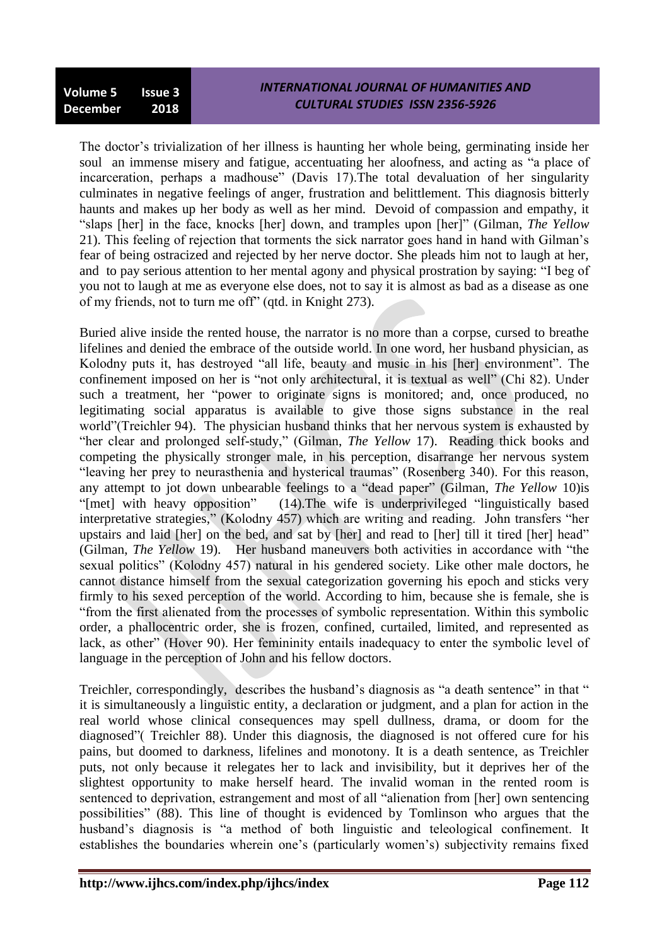The doctor"s trivialization of her illness is haunting her whole being, germinating inside her soul an immense misery and fatigue, accentuating her aloofness, and acting as "a place of incarceration, perhaps a madhouse" (Davis 17).The total devaluation of her singularity culminates in negative feelings of anger, frustration and belittlement. This diagnosis bitterly haunts and makes up her body as well as her mind. Devoid of compassion and empathy, it "slaps [her] in the face, knocks [her] down, and tramples upon [her]" (Gilman, *The Yellow* 21). This feeling of rejection that torments the sick narrator goes hand in hand with Gilman"s fear of being ostracized and rejected by her nerve doctor. She pleads him not to laugh at her, and to pay serious attention to her mental agony and physical prostration by saying: "I beg of you not to laugh at me as everyone else does, not to say it is almost as bad as a disease as one of my friends, not to turn me off" (qtd. in Knight 273).

Buried alive inside the rented house, the narrator is no more than a corpse, cursed to breathe lifelines and denied the embrace of the outside world. In one word, her husband physician, as Kolodny puts it, has destroyed "all life, beauty and music in his [her] environment". The confinement imposed on her is "not only architectural, it is textual as well" (Chi 82). Under such a treatment, her "power to originate signs is monitored; and, once produced, no legitimating social apparatus is available to give those signs substance in the real world"(Treichler 94). The physician husband thinks that her nervous system is exhausted by "her clear and prolonged self-study," (Gilman, *The Yellow* 17). Reading thick books and competing the physically stronger male, in his perception, disarrange her nervous system "leaving her prey to neurasthenia and hysterical traumas" (Rosenberg 340). For this reason, any attempt to jot down unbearable feelings to a "dead paper" (Gilman, *The Yellow* 10)is "[met] with heavy opposition" (14).The wife is underprivileged "linguistically based interpretative strategies," (Kolodny 457) which are writing and reading. John transfers "her upstairs and laid [her] on the bed, and sat by [her] and read to [her] till it tired [her] head" (Gilman, *The Yellow* 19). Her husband maneuvers both activities in accordance with "the sexual politics" (Kolodny 457) natural in his gendered society. Like other male doctors, he cannot distance himself from the sexual categorization governing his epoch and sticks very firmly to his sexed perception of the world. According to him, because she is female, she is "from the first alienated from the processes of symbolic representation. Within this symbolic order, a phallocentric order, she is frozen, confined, curtailed, limited, and represented as lack, as other" (Hover 90). Her femininity entails inadequacy to enter the symbolic level of language in the perception of John and his fellow doctors.

Treichler, correspondingly, describes the husband's diagnosis as "a death sentence" in that " it is simultaneously a linguistic entity, a declaration or judgment, and a plan for action in the real world whose clinical consequences may spell dullness, drama, or doom for the diagnosed"( Treichler 88). Under this diagnosis, the diagnosed is not offered cure for his pains, but doomed to darkness, lifelines and monotony. It is a death sentence, as Treichler puts, not only because it relegates her to lack and invisibility, but it deprives her of the slightest opportunity to make herself heard. The invalid woman in the rented room is sentenced to deprivation, estrangement and most of all "alienation from [her] own sentencing possibilities" (88). This line of thought is evidenced by Tomlinson who argues that the husband"s diagnosis is "a method of both linguistic and teleological confinement. It establishes the boundaries wherein one's (particularly women's) subjectivity remains fixed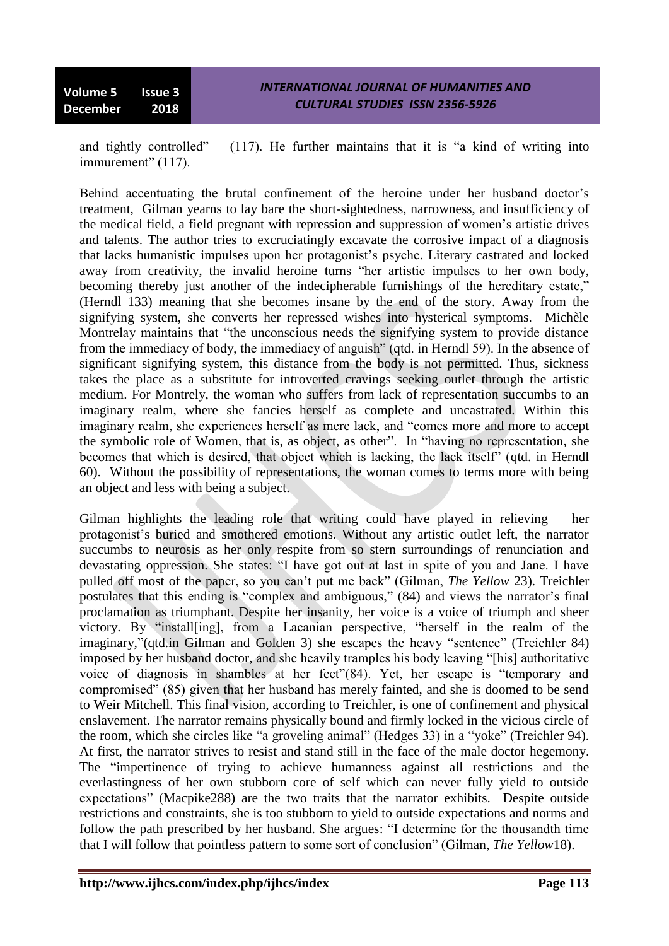and tightly controlled" (117). He further maintains that it is "a kind of writing into immurement" (117).

Behind accentuating the brutal confinement of the heroine under her husband doctor's treatment, Gilman yearns to lay bare the short-sightedness, narrowness, and insufficiency of the medical field, a field pregnant with repression and suppression of women"s artistic drives and talents. The author tries to excruciatingly excavate the corrosive impact of a diagnosis that lacks humanistic impulses upon her protagonist"s psyche. Literary castrated and locked away from creativity, the invalid heroine turns "her artistic impulses to her own body, becoming thereby just another of the indecipherable furnishings of the hereditary estate," (Herndl 133) meaning that she becomes insane by the end of the story. Away from the signifying system, she converts her repressed wishes into hysterical symptoms. Michèle Montrelay maintains that "the unconscious needs the signifying system to provide distance from the immediacy of body, the immediacy of anguish" (qtd. in Herndl 59). In the absence of significant signifying system, this distance from the body is not permitted. Thus, sickness takes the place as a substitute for introverted cravings seeking outlet through the artistic medium. For Montrely, the woman who suffers from lack of representation succumbs to an imaginary realm, where she fancies herself as complete and uncastrated. Within this imaginary realm, she experiences herself as mere lack, and "comes more and more to accept the symbolic role of Women, that is, as object, as other". In "having no representation, she becomes that which is desired, that object which is lacking, the lack itself<sup>"</sup> (qtd. in Herndl 60). Without the possibility of representations, the woman comes to terms more with being an object and less with being a subject.

Gilman highlights the leading role that writing could have played in relieving her protagonist"s buried and smothered emotions. Without any artistic outlet left, the narrator succumbs to neurosis as her only respite from so stern surroundings of renunciation and devastating oppression. She states: "I have got out at last in spite of you and Jane. I have pulled off most of the paper, so you can"t put me back" (Gilman, *The Yellow* 23). Treichler postulates that this ending is "complex and ambiguous," (84) and views the narrator"s final proclamation as triumphant. Despite her insanity, her voice is a voice of triumph and sheer victory. By "install[ing], from a Lacanian perspective, "herself in the realm of the imaginary,"(qtd.in Gilman and Golden 3) she escapes the heavy "sentence" (Treichler 84) imposed by her husband doctor, and she heavily tramples his body leaving "[his] authoritative voice of diagnosis in shambles at her feet"(84). Yet, her escape is "temporary and compromised" (85) given that her husband has merely fainted, and she is doomed to be send to Weir Mitchell. This final vision, according to Treichler, is one of confinement and physical enslavement. The narrator remains physically bound and firmly locked in the vicious circle of the room, which she circles like "a groveling animal" (Hedges 33) in a "yoke" (Treichler 94). At first, the narrator strives to resist and stand still in the face of the male doctor hegemony. The "impertinence of trying to achieve humanness against all restrictions and the everlastingness of her own stubborn core of self which can never fully yield to outside expectations" (Macpike288) are the two traits that the narrator exhibits. Despite outside restrictions and constraints, she is too stubborn to yield to outside expectations and norms and follow the path prescribed by her husband. She argues: "I determine for the thousandth time that I will follow that pointless pattern to some sort of conclusion" (Gilman, *The Yellow*18).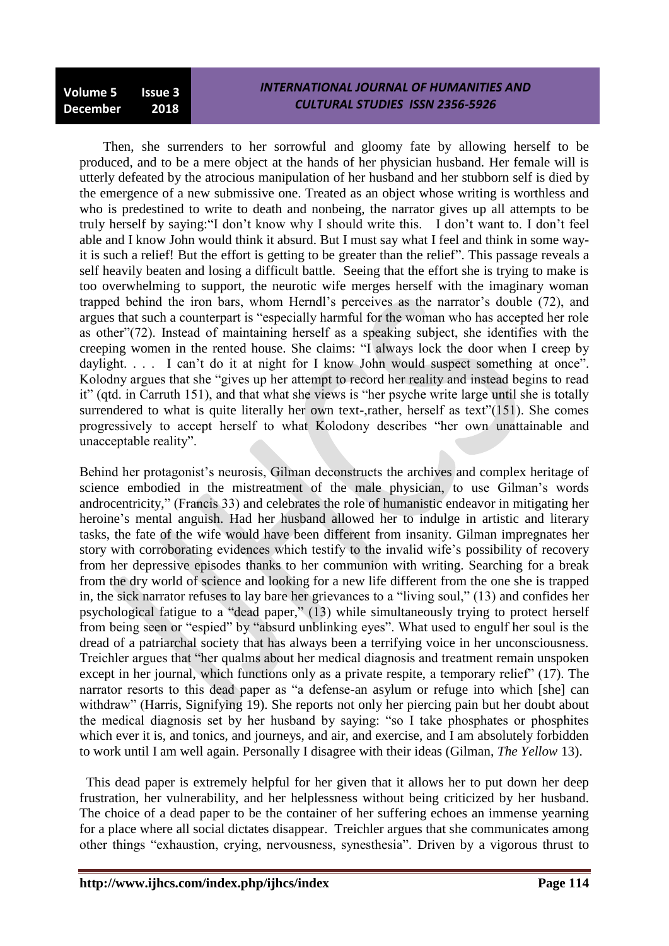Then, she surrenders to her sorrowful and gloomy fate by allowing herself to be produced, and to be a mere object at the hands of her physician husband. Her female will is utterly defeated by the atrocious manipulation of her husband and her stubborn self is died by the emergence of a new submissive one. Treated as an object whose writing is worthless and who is predestined to write to death and nonbeing, the narrator gives up all attempts to be truly herself by saying:"I don"t know why I should write this. I don"t want to. I don"t feel able and I know John would think it absurd. But I must say what I feel and think in some wayit is such a relief! But the effort is getting to be greater than the relief". This passage reveals a self heavily beaten and losing a difficult battle. Seeing that the effort she is trying to make is too overwhelming to support, the neurotic wife merges herself with the imaginary woman trapped behind the iron bars, whom Herndl"s perceives as the narrator"s double (72), and argues that such a counterpart is "especially harmful for the woman who has accepted her role as other"(72). Instead of maintaining herself as a speaking subject, she identifies with the creeping women in the rented house. She claims: "I always lock the door when I creep by daylight. . . . I can't do it at night for I know John would suspect something at once". Kolodny argues that she "gives up her attempt to record her reality and instead begins to read it" (qtd. in Carruth 151), and that what she views is "her psyche write large until she is totally surrendered to what is quite literally her own text-,rather, herself as text"(151). She comes progressively to accept herself to what Kolodony describes "her own unattainable and unacceptable reality".

Behind her protagonist's neurosis, Gilman deconstructs the archives and complex heritage of science embodied in the mistreatment of the male physician, to use Gilman's words androcentricity," (Francis 33) and celebrates the role of humanistic endeavor in mitigating her heroine's mental anguish. Had her husband allowed her to indulge in artistic and literary tasks, the fate of the wife would have been different from insanity. Gilman impregnates her story with corroborating evidences which testify to the invalid wife"s possibility of recovery from her depressive episodes thanks to her communion with writing. Searching for a break from the dry world of science and looking for a new life different from the one she is trapped in, the sick narrator refuses to lay bare her grievances to a "living soul," (13) and confides her psychological fatigue to a "dead paper," (13) while simultaneously trying to protect herself from being seen or "espied" by "absurd unblinking eyes". What used to engulf her soul is the dread of a patriarchal society that has always been a terrifying voice in her unconsciousness. Treichler argues that "her qualms about her medical diagnosis and treatment remain unspoken except in her journal, which functions only as a private respite, a temporary relief" (17). The narrator resorts to this dead paper as "a defense-an asylum or refuge into which [she] can withdraw" (Harris, Signifying 19). She reports not only her piercing pain but her doubt about the medical diagnosis set by her husband by saying: "so I take phosphates or phosphites which ever it is, and tonics, and journeys, and air, and exercise, and I am absolutely forbidden to work until I am well again. Personally I disagree with their ideas (Gilman, *The Yellow* 13).

 This dead paper is extremely helpful for her given that it allows her to put down her deep frustration, her vulnerability, and her helplessness without being criticized by her husband. The choice of a dead paper to be the container of her suffering echoes an immense yearning for a place where all social dictates disappear. Treichler argues that she communicates among other things "exhaustion, crying, nervousness, synesthesia". Driven by a vigorous thrust to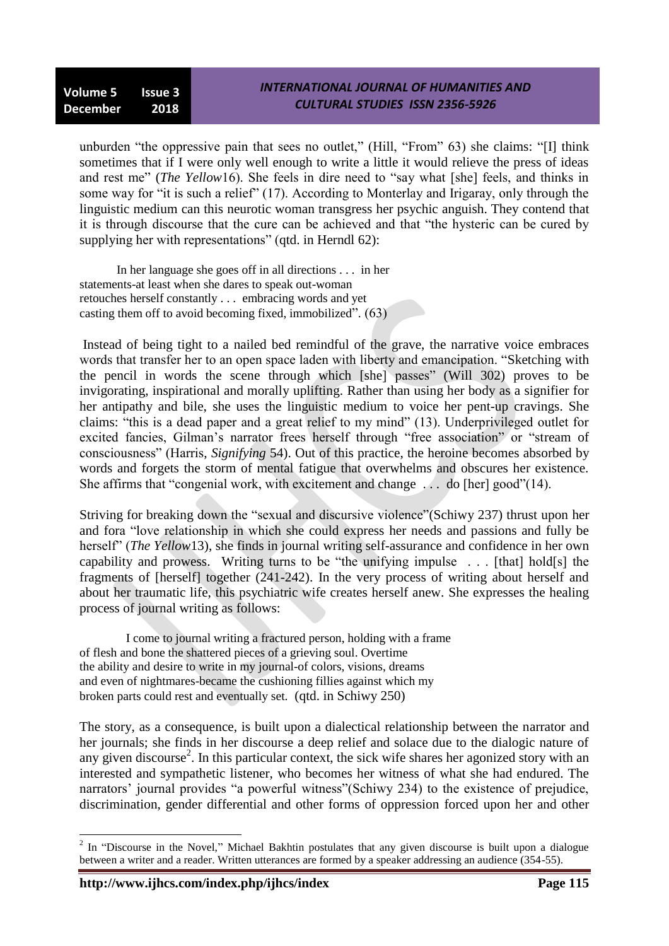unburden "the oppressive pain that sees no outlet," (Hill, "From" 63) she claims: "[I] think sometimes that if I were only well enough to write a little it would relieve the press of ideas and rest me" (*The Yellow*16). She feels in dire need to "say what [she] feels, and thinks in some way for "it is such a relief" (17). According to Monterlay and Irigaray, only through the linguistic medium can this neurotic woman transgress her psychic anguish. They contend that it is through discourse that the cure can be achieved and that "the hysteric can be cured by supplying her with representations" (qtd. in Herndl 62):

 In her language she goes off in all directions . . . in her statements-at least when she dares to speak out-woman retouches herself constantly . . . embracing words and yet casting them off to avoid becoming fixed, immobilized". (63)

Instead of being tight to a nailed bed remindful of the grave, the narrative voice embraces words that transfer her to an open space laden with liberty and emancipation. "Sketching with the pencil in words the scene through which [she] passes" (Will 302) proves to be invigorating, inspirational and morally uplifting. Rather than using her body as a signifier for her antipathy and bile, she uses the linguistic medium to voice her pent-up cravings. She claims: "this is a dead paper and a great relief to my mind" (13). Underprivileged outlet for excited fancies. Gilman's narrator frees herself through "free association" or "stream of consciousness" (Harris, *Signifying* 54). Out of this practice, the heroine becomes absorbed by words and forgets the storm of mental fatigue that overwhelms and obscures her existence. She affirms that "congenial work, with excitement and change . . . do [her] good"(14).

Striving for breaking down the "sexual and discursive violence"(Schiwy 237) thrust upon her and fora "love relationship in which she could express her needs and passions and fully be herself" (*The Yellow*13), she finds in journal writing self-assurance and confidence in her own capability and prowess. Writing turns to be "the unifying impulse . . . [that] hold[s] the fragments of [herself] together (241-242). In the very process of writing about herself and about her traumatic life, this psychiatric wife creates herself anew. She expresses the healing process of journal writing as follows:

 I come to journal writing a fractured person, holding with a frame of flesh and bone the shattered pieces of a grieving soul. Overtime the ability and desire to write in my journal-of colors, visions, dreams and even of nightmares-became the cushioning fillies against which my broken parts could rest and eventually set. (qtd. in Schiwy 250)

The story, as a consequence, is built upon a dialectical relationship between the narrator and her journals; she finds in her discourse a deep relief and solace due to the dialogic nature of any given discourse<sup>2</sup>. In this particular context, the sick wife shares her agonized story with an interested and sympathetic listener, who becomes her witness of what she had endured. The narrators' journal provides "a powerful witness" (Schiwy 234) to the existence of prejudice, discrimination, gender differential and other forms of oppression forced upon her and other

<sup>&</sup>lt;sup>2</sup> In "Discourse in the Novel," Michael Bakhtin postulates that any given discourse is built upon a dialogue between a writer and a reader. Written utterances are formed by a speaker addressing an audience (354-55).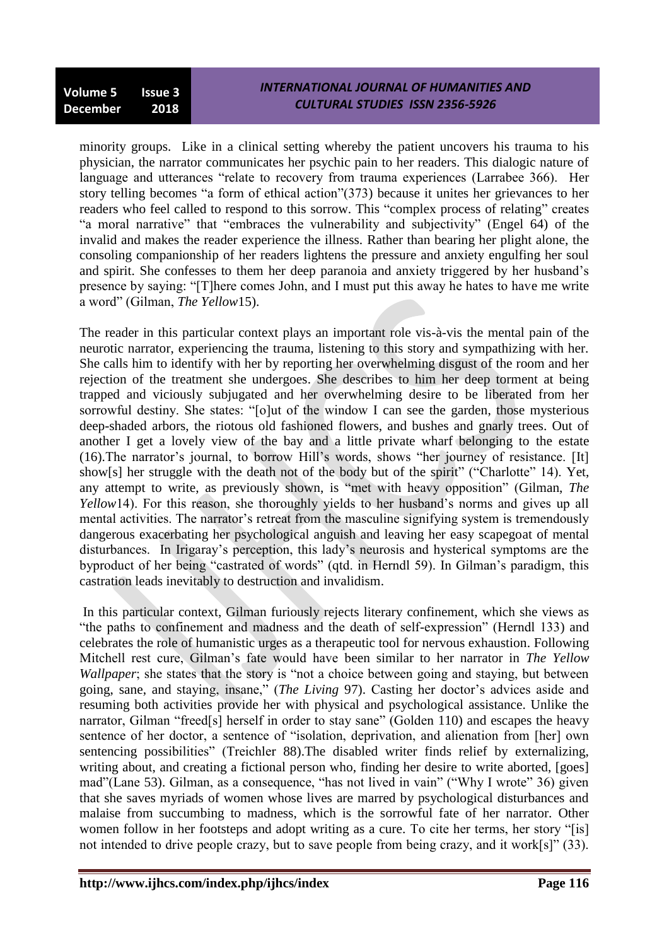minority groups. Like in a clinical setting whereby the patient uncovers his trauma to his physician, the narrator communicates her psychic pain to her readers. This dialogic nature of language and utterances "relate to recovery from trauma experiences (Larrabee 366). Her story telling becomes "a form of ethical action"(373) because it unites her grievances to her readers who feel called to respond to this sorrow. This "complex process of relating" creates "a moral narrative" that "embraces the vulnerability and subjectivity" (Engel 64) of the invalid and makes the reader experience the illness. Rather than bearing her plight alone, the consoling companionship of her readers lightens the pressure and anxiety engulfing her soul and spirit. She confesses to them her deep paranoia and anxiety triggered by her husband"s presence by saying: "[T]here comes John, and I must put this away he hates to have me write a word" (Gilman, *The Yellow*15).

The reader in this particular context plays an important role vis-à-vis the mental pain of the neurotic narrator, experiencing the trauma, listening to this story and sympathizing with her. She calls him to identify with her by reporting her overwhelming disgust of the room and her rejection of the treatment she undergoes. She describes to him her deep torment at being trapped and viciously subjugated and her overwhelming desire to be liberated from her sorrowful destiny. She states: "[o]ut of the window I can see the garden, those mysterious deep-shaded arbors, the riotous old fashioned flowers, and bushes and gnarly trees. Out of another I get a lovely view of the bay and a little private wharf belonging to the estate (16).The narrator"s journal, to borrow Hill"s words, shows "her journey of resistance. [It] show[s] her struggle with the death not of the body but of the spirit" ("Charlotte" 14). Yet, any attempt to write, as previously shown, is "met with heavy opposition" (Gilman, *The Yellow* 14). For this reason, she thoroughly yields to her husband's norms and gives up all mental activities. The narrator's retreat from the masculine signifying system is tremendously dangerous exacerbating her psychological anguish and leaving her easy scapegoat of mental disturbances. In Irigaray"s perception, this lady"s neurosis and hysterical symptoms are the byproduct of her being "castrated of words" (qtd. in Herndl 59). In Gilman"s paradigm, this castration leads inevitably to destruction and invalidism.

In this particular context, Gilman furiously rejects literary confinement, which she views as "the paths to confinement and madness and the death of self-expression" (Herndl 133) and celebrates the role of humanistic urges as a therapeutic tool for nervous exhaustion. Following Mitchell rest cure, Gilman"s fate would have been similar to her narrator in *The Yellow Wallpaper*; she states that the story is "not a choice between going and staying, but between going, sane, and staying, insane," (*The Living* 97). Casting her doctor"s advices aside and resuming both activities provide her with physical and psychological assistance. Unlike the narrator, Gilman "freed[s] herself in order to stay sane" (Golden 110) and escapes the heavy sentence of her doctor, a sentence of "isolation, deprivation, and alienation from [her] own sentencing possibilities" (Treichler 88).The disabled writer finds relief by externalizing, writing about, and creating a fictional person who, finding her desire to write aborted, [goes] mad"(Lane 53). Gilman, as a consequence, "has not lived in vain" ("Why I wrote" 36) given that she saves myriads of women whose lives are marred by psychological disturbances and malaise from succumbing to madness, which is the sorrowful fate of her narrator. Other women follow in her footsteps and adopt writing as a cure. To cite her terms, her story "[is] not intended to drive people crazy, but to save people from being crazy, and it work[s]" (33).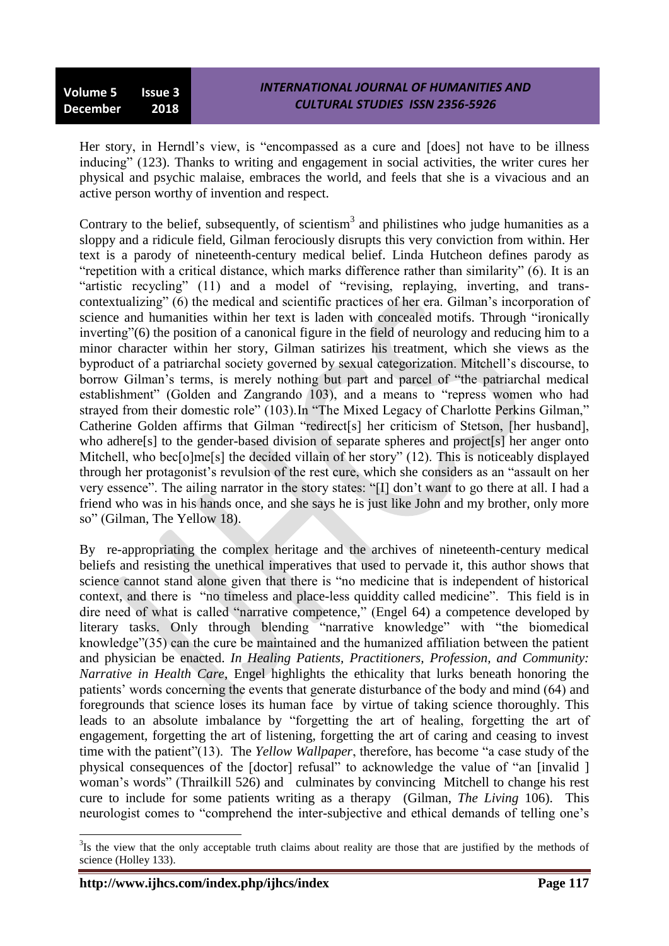Her story, in Herndl"s view, is "encompassed as a cure and [does] not have to be illness inducing" (123). Thanks to writing and engagement in social activities, the writer cures her physical and psychic malaise, embraces the world, and feels that she is a vivacious and an active person worthy of invention and respect.

Contrary to the belief, subsequently, of scientism<sup>3</sup> and philistines who judge humanities as a sloppy and a ridicule field, Gilman ferociously disrupts this very conviction from within. Her text is a parody of nineteenth-century medical belief. Linda Hutcheon defines parody as "repetition with a critical distance, which marks difference rather than similarity" (6). It is an "artistic recycling" (11) and a model of "revising, replaying, inverting, and transcontextualizing" (6) the medical and scientific practices of her era. Gilman"s incorporation of science and humanities within her text is laden with concealed motifs. Through "ironically inverting"(6) the position of a canonical figure in the field of neurology and reducing him to a minor character within her story, Gilman satirizes his treatment, which she views as the byproduct of a patriarchal society governed by sexual categorization. Mitchell"s discourse, to borrow Gilman"s terms, is merely nothing but part and parcel of "the patriarchal medical establishment" (Golden and Zangrando 103), and a means to "repress women who had strayed from their domestic role" (103).In "The Mixed Legacy of Charlotte Perkins Gilman," Catherine Golden affirms that Gilman "redirect[s] her criticism of Stetson, [her husband], who adhere<sup>[s]</sup> to the gender-based division of separate spheres and project<sup>[s]</sup> her anger onto Mitchell, who bec[o]me[s] the decided villain of her story" (12). This is noticeably displayed through her protagonist"s revulsion of the rest cure, which she considers as an "assault on her very essence". The ailing narrator in the story states: "[I] don"t want to go there at all. I had a friend who was in his hands once, and she says he is just like John and my brother, only more so" (Gilman, The Yellow 18).

By re-appropriating the complex heritage and the archives of nineteenth-century medical beliefs and resisting the unethical imperatives that used to pervade it, this author shows that science cannot stand alone given that there is "no medicine that is independent of historical context, and there is "no timeless and place-less quiddity called medicine". This field is in dire need of what is called "narrative competence," (Engel 64) a competence developed by literary tasks. Only through blending "narrative knowledge" with "the biomedical knowledge"(35) can the cure be maintained and the humanized affiliation between the patient and physician be enacted. *In Healing Patients, Practitioners, Profession, and Community: Narrative in Health Care*, Engel highlights the ethicality that lurks beneath honoring the patients" words concerning the events that generate disturbance of the body and mind (64) and foregrounds that science loses its human face by virtue of taking science thoroughly. This leads to an absolute imbalance by "forgetting the art of healing, forgetting the art of engagement, forgetting the art of listening, forgetting the art of caring and ceasing to invest time with the patient"(13). The *Yellow Wallpaper*, therefore, has become "a case study of the physical consequences of the [doctor] refusal" to acknowledge the value of "an [invalid ] woman's words" (Thrailkill 526) and culminates by convincing Mitchell to change his rest cure to include for some patients writing as a therapy (Gilman, *The Living* 106). This neurologist comes to "comprehend the inter-subjective and ethical demands of telling one"s

<sup>&</sup>lt;sup>3</sup>Is the view that the only acceptable truth claims about reality are those that are justified by the methods of science (Holley 133).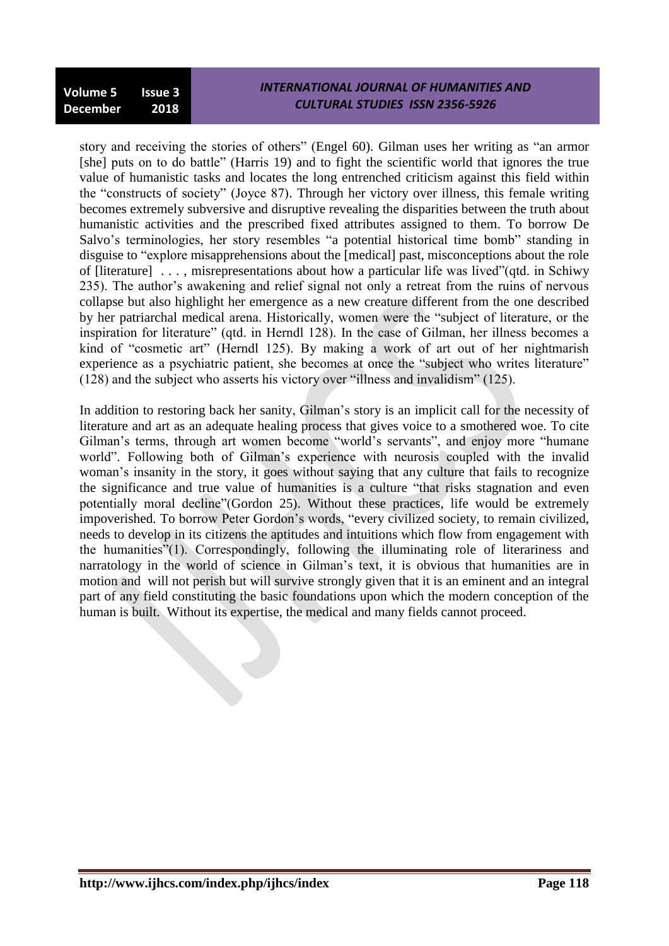story and receiving the stories of others" (Engel 60). Gilman uses her writing as "an armor [she] puts on to do battle" (Harris 19) and to fight the scientific world that ignores the true value of humanistic tasks and locates the long entrenched criticism against this field within the "constructs of society" (Joyce 87). Through her victory over illness, this female writing becomes extremely subversive and disruptive revealing the disparities between the truth about humanistic activities and the prescribed fixed attributes assigned to them. To borrow De Salvo's terminologies, her story resembles "a potential historical time bomb" standing in disguise to "explore misapprehensions about the [medical] past, misconceptions about the role of [literature] . . . , misrepresentations about how a particular life was lived"(qtd. in Schiwy 235). The author"s awakening and relief signal not only a retreat from the ruins of nervous collapse but also highlight her emergence as a new creature different from the one described by her patriarchal medical arena. Historically, women were the "subject of literature, or the inspiration for literature" (qtd. in Herndl 128). In the case of Gilman, her illness becomes a kind of "cosmetic art" (Herndl 125). By making a work of art out of her nightmarish experience as a psychiatric patient, she becomes at once the "subject who writes literature" (128) and the subject who asserts his victory over "illness and invalidism" (125).

In addition to restoring back her sanity, Gilman"s story is an implicit call for the necessity of literature and art as an adequate healing process that gives voice to a smothered woe. To cite Gilman's terms, through art women become "world's servants", and enjoy more "humane world". Following both of Gilman's experience with neurosis coupled with the invalid woman's insanity in the story, it goes without saying that any culture that fails to recognize the significance and true value of humanities is a culture "that risks stagnation and even potentially moral decline"(Gordon 25). Without these practices, life would be extremely impoverished. To borrow Peter Gordon"s words, "every civilized society, to remain civilized, needs to develop in its citizens the aptitudes and intuitions which flow from engagement with the humanities"(1). Correspondingly, following the illuminating role of literariness and narratology in the world of science in Gilman"s text, it is obvious that humanities are in motion and will not perish but will survive strongly given that it is an eminent and an integral part of any field constituting the basic foundations upon which the modern conception of the human is built. Without its expertise, the medical and many fields cannot proceed.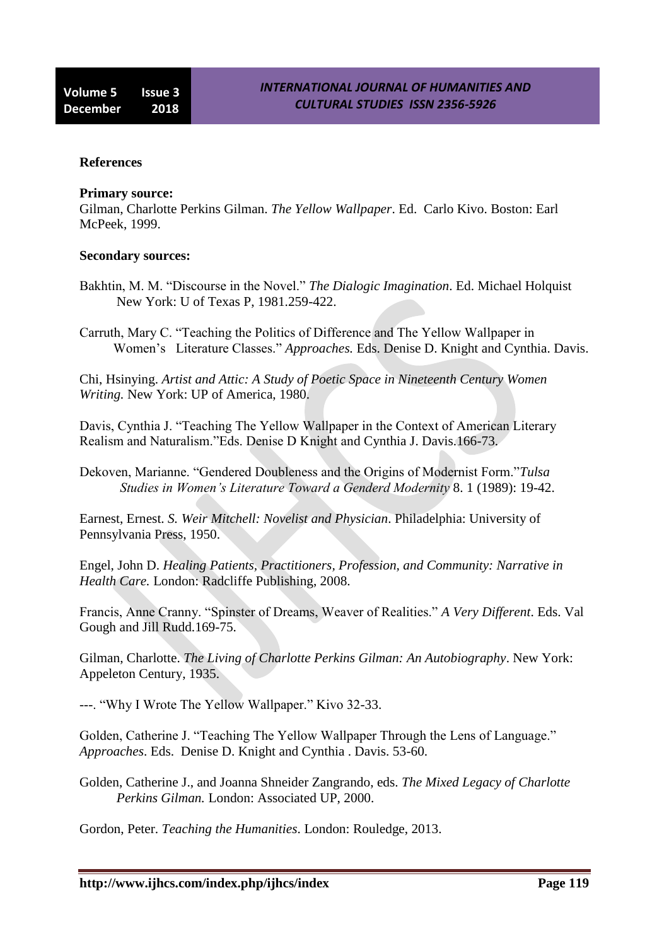#### **References**

#### **Primary source:**

Gilman, Charlotte Perkins Gilman. *The Yellow Wallpaper*. Ed. Carlo Kivo. Boston: Earl McPeek, 1999.

#### **Secondary sources:**

- Bakhtin, M. M. "Discourse in the Novel." *The Dialogic Imagination*. Ed. Michael Holquist New York: U of Texas P, 1981.259-422.
- Carruth, Mary C. "Teaching the Politics of Difference and The Yellow Wallpaper in Women"s Literature Classes." *Approaches.* Eds. Denise D. Knight and Cynthia. Davis.

Chi, Hsinying. *Artist and Attic: A Study of Poetic Space in Nineteenth Century Women Writing.* New York: UP of America, 1980.

Davis, Cynthia J. "Teaching The Yellow Wallpaper in the Context of American Literary Realism and Naturalism."Eds. Denise D Knight and Cynthia J. Davis.166-73.

Dekoven, Marianne. "Gendered Doubleness and the Origins of Modernist Form."*Tulsa Studies in Women's Literature Toward a Genderd Modernity* 8. 1 (1989): 19-42.

Earnest, Ernest. *S. Weir Mitchell: Novelist and Physician*. Philadelphia: University of Pennsylvania Press, 1950.

Engel, John D. *Healing Patients, Practitioners, Profession, and Community: Narrative in Health Care.* London: Radcliffe Publishing, 2008.

Francis, Anne Cranny. "Spinster of Dreams, Weaver of Realities." *A Very Different*. Eds. Val Gough and Jill Rudd.169-75.

Gilman, Charlotte. *The Living of Charlotte Perkins Gilman: An Autobiography*. New York: Appeleton Century, 1935.

---. "Why I Wrote The Yellow Wallpaper." Kivo 32-33.

Golden, Catherine J. "Teaching The Yellow Wallpaper Through the Lens of Language." *Approaches*. Eds. Denise D. Knight and Cynthia . Davis. 53-60.

Golden, Catherine J., and Joanna Shneider Zangrando, eds. *The Mixed Legacy of Charlotte Perkins Gilman.* London: Associated UP, 2000.

Gordon, Peter. *Teaching the Humanities*. London: Rouledge, 2013.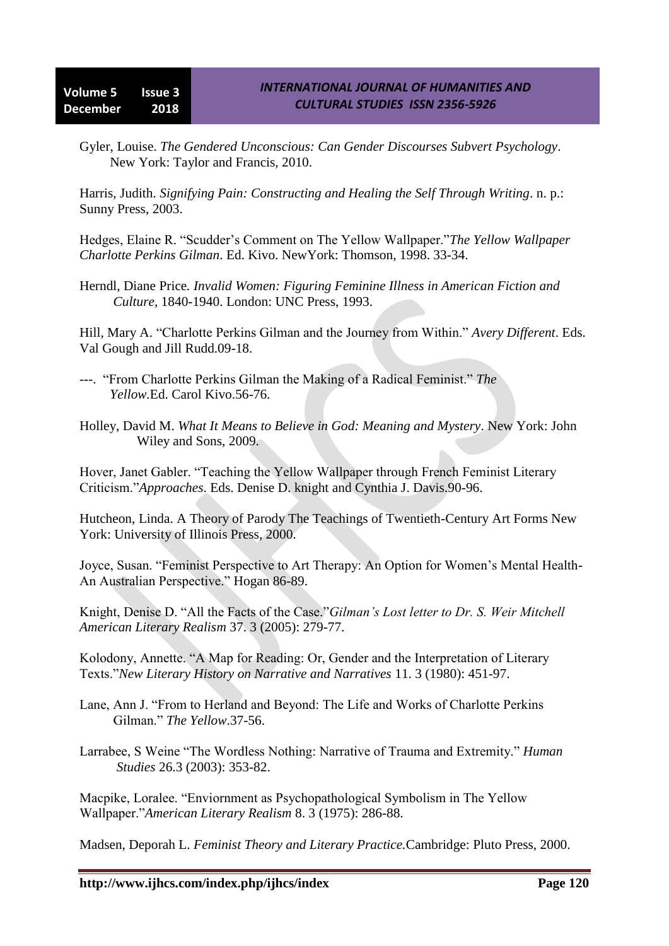Gyler, Louise. *The Gendered Unconscious: Can Gender Discourses Subvert Psychology*. New York: Taylor and Francis, 2010.

Harris, Judith. *Signifying Pain: Constructing and Healing the Self Through Writing*. n. p.: Sunny Press, 2003.

Hedges, Elaine R. "Scudder"s Comment on The Yellow Wallpaper."*The Yellow Wallpaper Charlotte Perkins Gilman*. Ed. Kivo. NewYork: Thomson, 1998. 33-34.

Herndl, Diane Price*. Invalid Women: Figuring Feminine Illness in American Fiction and Culture,* 1840-1940. London: UNC Press, 1993.

Hill, Mary A. "Charlotte Perkins Gilman and the Journey from Within." *Avery Different*. Eds. Val Gough and Jill Rudd.09-18.

---. "From Charlotte Perkins Gilman the Making of a Radical Feminist." *The Yellow.*Ed. Carol Kivo.56-76.

Holley, David M. *What It Means to Believe in God: Meaning and Mystery*. New York: John Wiley and Sons, 2009.

Hover, Janet Gabler. "Teaching the Yellow Wallpaper through French Feminist Literary Criticism."*Approaches*. Eds. Denise D. knight and Cynthia J. Davis.90-96.

Hutcheon, Linda. A Theory of Parody The Teachings of Twentieth-Century Art Forms New York: University of Illinois Press, 2000.

Joyce, Susan. "Feminist Perspective to Art Therapy: An Option for Women"s Mental Health-An Australian Perspective." Hogan 86-89.

Knight, Denise D. "All the Facts of the Case."*Gilman's Lost letter to Dr. S. Weir Mitchell American Literary Realism* 37. 3 (2005): 279-77.

Kolodony, Annette. "A Map for Reading: Or, Gender and the Interpretation of Literary Texts."*New Literary History on Narrative and Narratives* 11. 3 (1980): 451-97.

- Lane, Ann J. "From to Herland and Beyond: The Life and Works of Charlotte Perkins Gilman." *The Yellow*.37-56.
- Larrabee, S Weine "The Wordless Nothing: Narrative of Trauma and Extremity." *Human Studies* 26.3 (2003): 353-82.

Macpike, Loralee. "Enviornment as Psychopathological Symbolism in The Yellow Wallpaper."*American Literary Realism* 8. 3 (1975): 286-88.

Madsen, Deporah L. *Feminist Theory and Literary Practice.*Cambridge: Pluto Press, 2000.